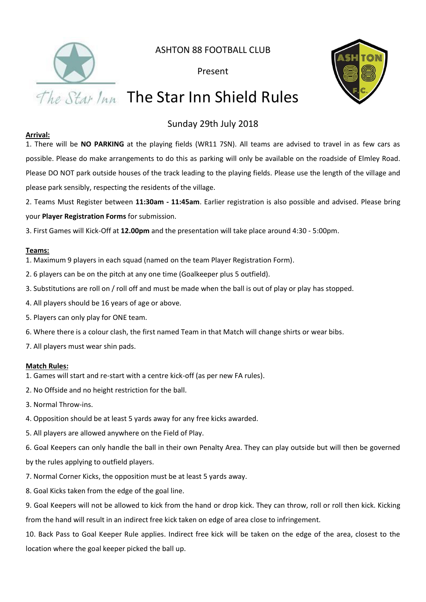

ASHTON 88 FOOTBALL CLUB

Present



# The Star Inn The Star Inn Shield Rules

### Sunday 29th July 2018

#### **Arrival:**

1. There will be **NO PARKING** at the playing fields (WR11 7SN). All teams are advised to travel in as few cars as possible. Please do make arrangements to do this as parking will only be available on the roadside of Elmley Road. Please DO NOT park outside houses of the track leading to the playing fields. Please use the length of the village and please park sensibly, respecting the residents of the village.

2. Teams Must Register between **11:30am - 11:45am**. Earlier registration is also possible and advised. Please bring your **Player Registration Forms** for submission.

3. First Games will Kick-Off at **12.00pm** and the presentation will take place around 4:30 - 5:00pm.

#### **Teams:**

- 1. Maximum 9 players in each squad (named on the team Player Registration Form).
- 2. 6 players can be on the pitch at any one time (Goalkeeper plus 5 outfield).
- 3. Substitutions are roll on / roll off and must be made when the ball is out of play or play has stopped.
- 4. All players should be 16 years of age or above.
- 5. Players can only play for ONE team.
- 6. Where there is a colour clash, the first named Team in that Match will change shirts or wear bibs.
- 7. All players must wear shin pads.

#### **Match Rules:**

- 1. Games will start and re-start with a centre kick-off (as per new FA rules).
- 2. No Offside and no height restriction for the ball.
- 3. Normal Throw-ins.
- 4. Opposition should be at least 5 yards away for any free kicks awarded.
- 5. All players are allowed anywhere on the Field of Play.

6. Goal Keepers can only handle the ball in their own Penalty Area. They can play outside but will then be governed by the rules applying to outfield players.

- 7. Normal Corner Kicks, the opposition must be at least 5 yards away.
- 8. Goal Kicks taken from the edge of the goal line.

9. Goal Keepers will not be allowed to kick from the hand or drop kick. They can throw, roll or roll then kick. Kicking from the hand will result in an indirect free kick taken on edge of area close to infringement.

10. Back Pass to Goal Keeper Rule applies. Indirect free kick will be taken on the edge of the area, closest to the location where the goal keeper picked the ball up.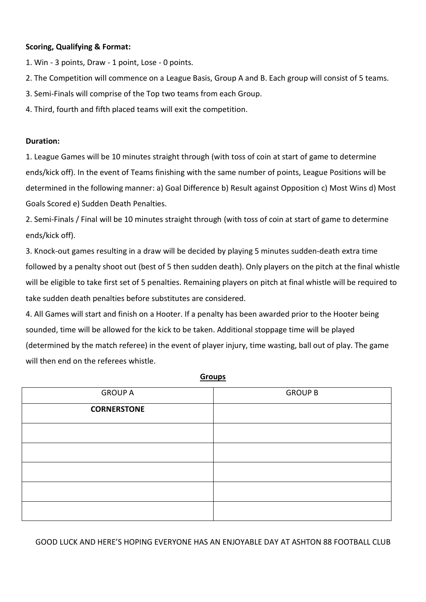#### **Scoring, Qualifying & Format:**

- 1. Win 3 points, Draw 1 point, Lose 0 points.
- 2. The Competition will commence on a League Basis, Group A and B. Each group will consist of 5 teams.
- 3. Semi-Finals will comprise of the Top two teams from each Group.
- 4. Third, fourth and fifth placed teams will exit the competition.

#### **Duration:**

1. League Games will be 10 minutes straight through (with toss of coin at start of game to determine ends/kick off). In the event of Teams finishing with the same number of points, League Positions will be determined in the following manner: a) Goal Difference b) Result against Opposition c) Most Wins d) Most Goals Scored e) Sudden Death Penalties.

2. Semi-Finals / Final will be 10 minutes straight through (with toss of coin at start of game to determine ends/kick off).

3. Knock-out games resulting in a draw will be decided by playing 5 minutes sudden-death extra time followed by a penalty shoot out (best of 5 then sudden death). Only players on the pitch at the final whistle will be eligible to take first set of 5 penalties. Remaining players on pitch at final whistle will be required to take sudden death penalties before substitutes are considered.

4. All Games will start and finish on a Hooter. If a penalty has been awarded prior to the Hooter being sounded, time will be allowed for the kick to be taken. Additional stoppage time will be played (determined by the match referee) in the event of player injury, time wasting, ball out of play. The game will then end on the referees whistle.

| <b>GROUP A</b>     | <b>GROUP B</b> |
|--------------------|----------------|
| <b>CORNERSTONE</b> |                |
|                    |                |
|                    |                |
|                    |                |
|                    |                |
|                    |                |

**Groups**

GOOD LUCK AND HERE'S HOPING EVERYONE HAS AN ENJOYABLE DAY AT ASHTON 88 FOOTBALL CLUB